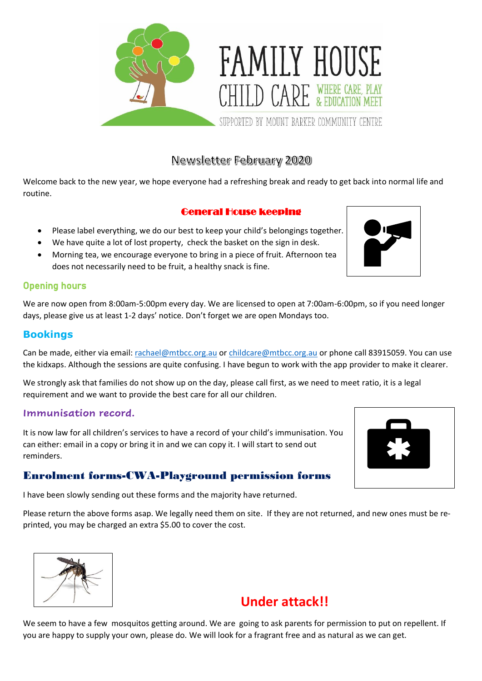

# Newsletter February 2020

Welcome back to the new year, we hope everyone had a refreshing break and ready to get back into normal life and routine.

### General House keeping

- Please label everything, we do our best to keep your child's belongings together.
- We have quite a lot of lost property, check the basket on the sign in desk.
- Morning tea, we encourage everyone to bring in a piece of fruit. Afternoon tea does not necessarily need to be fruit, a healthy snack is fine.

### Opening hours

We are now open from 8:00am-5:00pm every day. We are licensed to open at 7:00am-6:00pm, so if you need longer days, please give us at least 1-2 days' notice. Don't forget we are open Mondays too.

### **Bookings**

Can be made, either via email[: rachael@mtbcc.org.au](mailto:rachael@mtbcc.org.au) or [childcare@mtbcc.org.au](mailto:childcare@mtbcc.org.au) or phone call 83915059. You can use the kidxaps. Although the sessions are quite confusing. I have begun to work with the app provider to make it clearer.

We strongly ask that families do not show up on the day, please call first, as we need to meet ratio, it is a legal requirement and we want to provide the best care for all our children.

### **Immunisation record.**

It is now law for all children's services to have a record of your child's immunisation. You can either: email in a copy or bring it in and we can copy it. I will start to send out reminders.

## Enrolment forms-CWA-Playground permission forms

I have been slowly sending out these forms and the majority have returned.

Please return the above forms asap. We legally need them on site. If they are not returned, and new ones must be reprinted, you may be charged an extra \$5.00 to cover the cost.



# **Under attack!!**

We seem to have a few mosquitos getting around. We are going to ask parents for permission to put on repellent. If you are happy to supply your own, please do. We will look for a fragrant free and as natural as we can get.